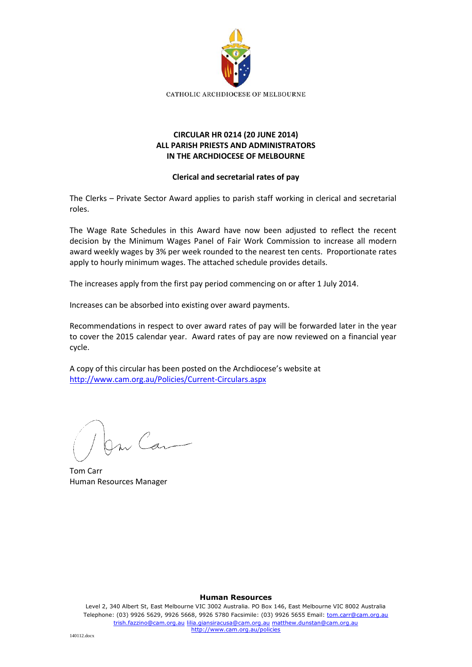

## **CIRCULAR HR 0214 (20 JUNE 2014) ALL PARISH PRIESTS AND ADMINISTRATORS IN THE ARCHDIOCESE OF MELBOURNE**

### **Clerical and secretarial rates of pay**

The Clerks – Private Sector Award applies to parish staff working in clerical and secretarial roles.

The Wage Rate Schedules in this Award have now been adjusted to reflect the recent decision by the Minimum Wages Panel of Fair Work Commission to increase all modern award weekly wages by 3% per week rounded to the nearest ten cents. Proportionate rates apply to hourly minimum wages. The attached schedule provides details.

The increases apply from the first pay period commencing on or after 1 July 2014.

Increases can be absorbed into existing over award payments.

Recommendations in respect to over award rates of pay will be forwarded later in the year to cover the 2015 calendar year. Award rates of pay are now reviewed on a financial year cycle.

A copy of this circular has been posted on the Archdiocese's website at <http://www.cam.org.au/Policies/Current-Circulars.aspx>

m Car

Tom Carr Human Resources Manager

#### **Human Resources**

Level 2, 340 Albert St, East Melbourne VIC 3002 Australia. PO Box 146, East Melbourne VIC 8002 Australia Telephone: (03) 9926 5629, 9926 5668, 9926 5780 Facsimile: (03) 9926 5655 Email: tom.carr@cam.org.au trish.fazzino@cam.org.au lilia.giansiracusa@cam.org.au matthew.dunstan@cam.org.au http://www.cam.org.au/policies